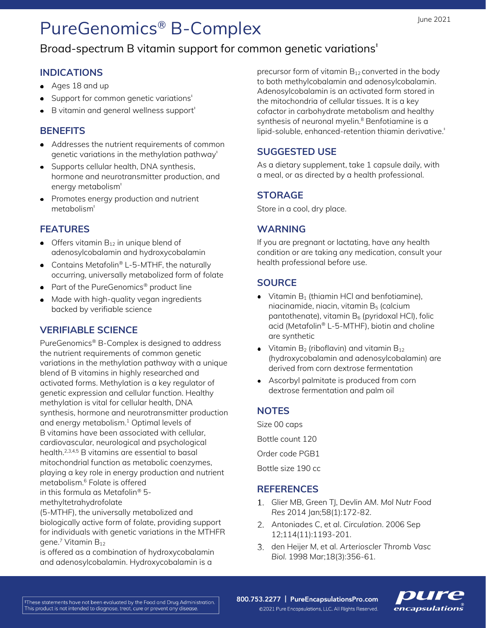# PureGenomics® B-Complex

## Broad-spectrum B vitamin support for common genetic variations<sup>t</sup>

#### **INDICATIONS**

- Ages 18 and up
- Support for common genetic variations<sup>#</sup>  $\bullet$
- B vitamin and general wellness support<sup>#</sup>

#### **BENEFITS**

- Addresses the nutrient requirements of common genetic variations in the methylation pathway $^{\dagger}$
- Supports cellular health, DNA synthesis, hormone and neurotransmitter production, and energy metabolism<sup>+</sup>
- Promotes energy production and nutrient metabolism‡

### **FEATURES**

- $\bullet$  Offers vitamin  $B_{12}$  in unique blend of adenosylcobalamin and hydroxycobalamin
- Contains Metafolin® L-5-MTHF, the naturally occurring, universally metabolized form of folate
- Part of the PureGenomics<sup>®</sup> product line
- Made with high-quality vegan ingredients backed by verifiable science

### **VERIFIABLE SCIENCE**

PureGenomics® B-Complex is designed to address the nutrient requirements of common genetic variations in the methylation pathway with a unique blend of B vitamins in highly researched and activated forms. Methylation is a key regulator of genetic expression and cellular function. Healthy methylation is vital for cellular health, DNA synthesis, hormone and neurotransmitter production and energy metabolism.<sup>1</sup> Optimal levels of B vitamins have been associated with cellular, cardiovascular, neurological and psychological health.2,3,4,5 B vitamins are essential to basal mitochondrial function as metabolic coenzymes, playing a key role in energy production and nutrient metabolism.<sup>6</sup> Folate is offered in this formula as Metafolin® 5-

methyltetrahydrofolate

(5-MTHF), the universally metabolized and biologically active form of folate, providing support for individuals with genetic variations in the MTHFR gene.<sup>7</sup> Vitamin B<sub>12</sub>

is offered as a combination of hydroxycobalamin and adenosylcobalamin. Hydroxycobalamin is a

precursor form of vitamin  $B_{12}$  converted in the body to both methylcobalamin and adenosylcobalamin. Adenosylcobalamin is an activated form stored in the mitochondria of cellular tissues. It is a key cofactor in carbohydrate metabolism and healthy synthesis of neuronal myelin.<sup>8</sup> Benfotiamine is a lipid-soluble, enhanced-retention thiamin derivative.<sup>†</sup>

#### **SUGGESTED USE**

As a dietary supplement, take 1 capsule daily, with a meal, or as directed by a health professional.

#### **STORAGE**

Store in a cool, dry place.

#### **WARNING**

If you are pregnant or lactating, have any health condition or are taking any medication, consult your health professional before use.

#### **SOURCE**

- $\bullet$  Vitamin B<sub>1</sub> (thiamin HCl and benfotiamine), niacinamide, niacin, vitamin B<sup>5</sup> (calcium pantothenate), vitamin  $B_6$  (pyridoxal HCl), folic acid (Metafolin® L-5-MTHF), biotin and choline are synthetic
- Vitamin  $B_2$  (riboflavin) and vitamin  $B_{12}$ (hydroxycobalamin and adenosylcobalamin) are derived from corn dextrose fermentation
- Ascorbyl palmitate is produced from corn dextrose fermentation and palm oil

#### **NOTES**

Size 00 caps Bottle count 120 Order code PGB1 Bottle size 190 cc

#### **REFERENCES**

- Glier MB, Green TJ, Devlin AM. *Mol Nutr Food Res* 2014 Jan;58(1):172-82.
- Antoniades C, et al. *Circulation*. 2006 Sep 12;114(11):1193-201.
- den Heijer M, et al. *Arterioscler Thromb Vasc Biol.* 1998 Mar;18(3):356-61.

800.753.2277 | PureEncapsulationsPro.com ©2021 Pure Encapsulations, LLC. All Rights Reserved.